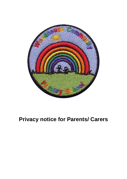

# **Privacy notice for Parents/ Carers**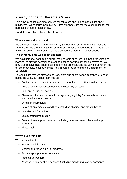# **Privacy notice for Parents/ Carers**

This privacy notice explains how we collect, store and use personal data about pupils. We, Woodhouse Community Primary School, are the 'data controller' for the purposes of data protection law.

Our data protection officer is Mrs L Nicholls.

#### **Who we are and what we do**

We are Woodhouse Community Primary School, Walker Drive, Bishop Auckland, DL16 6QW. We are a maintained primary school for children ages 3 – 11 years old and childcare for 2 year olds. Our local authority is Durham County Council.

# **The personal data we collect and hold**

We hold personal data about pupils, their parents or carers to support teaching and learning, to provide pastoral care and to assess how the school is performing. We may also receive data about pupils from other organisations including, but not limited to, other schools, local authorities, health care providers and the Department for Education.

Personal data that we may collect, use, store and share (when appropriate) about pupils includes, but is not restricted to:

- Contact details, contact preferences, date of birth, identification documents
- Results of internal assessments and externally set tests
- Pupil and curricular records
- Characteristics, such as ethnic background, eligibility for free school meals, or special educational needs
- Exclusion information
- Details of any medical conditions, including physical and mental health
- Attendance information
- Safeguarding information
- Details of any support received, including care packages, plans and support providers
- Photographs

# **Why we use this data**

We use this data to:

- Support pupil learning
- Monitor and report on pupil progress
- Provide appropriate pastoral care
- Protect pupil welfare
- Assess the quality of our services (including monitoring staff performance)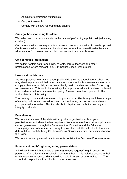- Administer admissions waiting lists
- Carry out research
- Comply with the law regarding data sharing

#### **Our legal basis for using this data**

We collect and use personal data on the basis of performing a public task (educating children).

On some occasions we may ask for consent to process data when its use is optional. On those occasions consent can be withdrawn at any time. We will make this clear when we ask for consent, and explain how consent can be withdrawn.

#### **Collecting this information**

We collect / obtain data from pupils, parents, carers, teachers and other professionals where relevant (e.g. G.P, hospital, social workers etc.)

#### **How we store this data**

We keep personal information about pupils while they are attending our school. We may also keep it beyond their attendance at our school if this is necessary in order to comply with our legal obligations. We will only retain the data we collect for as long as is necessary. This would be to satisfy the purpose for which it has been collected in accordance with our data retention policy. Please contact us if you would like further details on this policy.

The security of data and information is important to us. This is why we follow a range of security policies and procedures to control and safeguard access to and use of your personal information. This includes both physical and technical security and integrity of all data.

#### **Data sharing**

We do not share any of this data with any other organisation without your permission, except where the law requires it. We are required to provide pupil data to central government through the Department for Education and the Education Funding Agency. Where it is necessary to protect a child, the school will also share data with the Local Authority Children's Social Services, medical professional and/or the Police.

We do not transfer personal data to countries outside the European Economic Area.

#### **Parents and pupils' rights regarding personal data**

Individuals have a right to make a **'subject access request'** to gain access to personal information that the school holds about them. This includes access to their child's educational record. This should be made in writing or by e-mail to ….. The school will respond within a 15 school days timescale.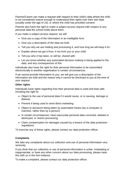Parents/Carers can make a request with respect to their child's data where the child is not considered mature enough to understand their rights over their own data (usually under the age of 16), or where the child has provided consent.

Parents also have the right to make a subject access request with respect to any personal data the school holds about them.

If you make a subject access request, we will:

- Give you a copy of the information in an intelligible form
- Give you a description of the data we hold
- Tell you why we are holding and processing it, and how long we will keep it for
- Explain where we got it from, if not from you or your child
- Tell you who it has been, or will be, shared with
- Let you know whether any automated decision-making is being applied to the data, and any consequences of this

Individuals also have the right for their personal information to be transmitted electronically to another organisation in certain circumstances.

If we cannot provide information to you, we will give you a description of the information we hold and the reason why it cannot be disclosed to you at the time of your request.

#### **Other rights**

Individuals have rights regarding how their personal data is used and kept safe, including the right to:

- Object to the use of personal data if it would cause, or is causing, damage or distress
- Prevent it being used to send direct marketing
- Object to decisions being taken by automated means (by a computer or machine, rather than by a person)
- In certain circumstances, have inaccurate personal data corrected, deleted or destroyed, or restrict processing
- Claim compensation for damages caused by a breach of the data protection regulations

To exercise any of these rights, please contact our data protection officer.

# **Complaints**

We take any complaints about our collection and use of personal information very seriously.

If you think that our collection or use of personal information is unfair, misleading or inappropriate, or have any other concern about our data processing, please raise this with us in the first instance.

To make a complaint, please contact our data protection officer.